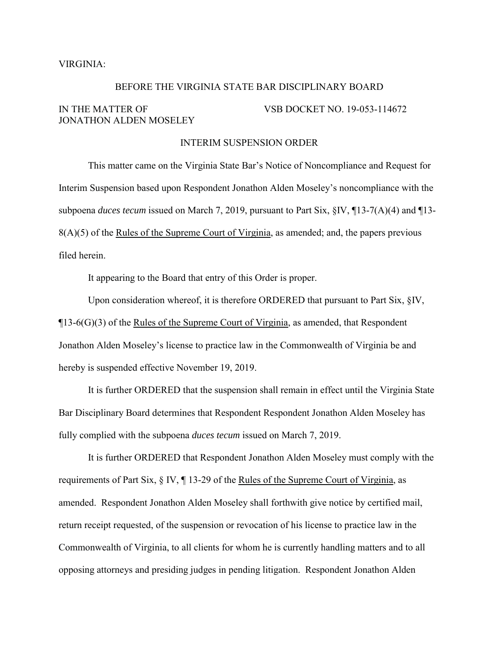## VIRGINIA:

## BEFORE THE VIRGINIA STATE BAR DISCIPLINARY BOARD

## IN THE MATTER OF VSB DOCKET NO. 19-053-114672 JONATHON ALDEN MOSELEY

## INTERIM SUSPENSION ORDER

This matter came on the Virginia State Bar's Notice of Noncompliance and Request for Interim Suspension based upon Respondent Jonathon Alden Moseley's noncompliance with the subpoena *duces tecum* issued on March 7, 2019, pursuant to Part Six, §IV, ¶13-7(A)(4) and ¶13- 8(A)(5) of the Rules of the Supreme Court of Virginia, as amended; and, the papers previous filed herein.

It appearing to the Board that entry of this Order is proper.

Upon consideration whereof, it is therefore ORDERED that pursuant to Part Six,  $\S$ IV,  $\P$ 13-6(G)(3) of the Rules of the Supreme Court of Virginia, as amended, that Respondent Jonathon Alden Moseley's license to practice law in the Commonwealth of Virginia be and hereby is suspended effective November 19, 2019.

It is further ORDERED that the suspension shall remain in effect until the Virginia State Bar Disciplinary Board determines that Respondent Respondent Jonathon Alden Moseley has fully complied with the subpoena *duces tecum* issued on March 7, 2019.

It is further ORDERED that Respondent Jonathon Alden Moseley must comply with the requirements of Part Six, § IV, ¶ 13-29 of the Rules of the Supreme Court of Virginia, as amended. Respondent Jonathon Alden Moseley shall forthwith give notice by certified mail, return receipt requested, of the suspension or revocation of his license to practice law in the Commonwealth of Virginia, to all clients for whom he is currently handling matters and to all opposing attorneys and presiding judges in pending litigation. Respondent Jonathon Alden